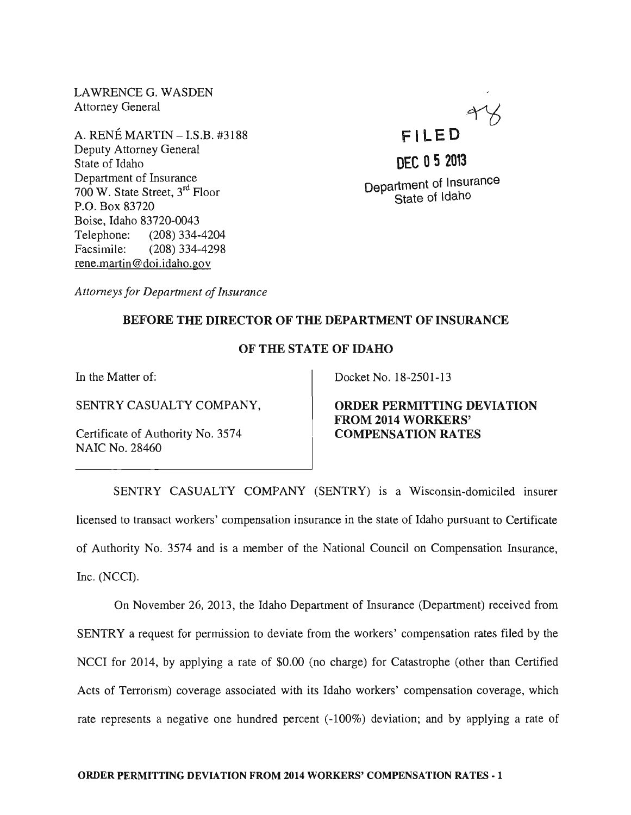LAWRENCE G. WASDEN Attorney General

A. RENE MARTIN - LS.B. #3188 Deputy Attorney General State of Idaho Department of Insurance 700 W. State Street, 3rd Floor P.O. Box 83720 Boise, Idaho 83720-0043 Telephone: (208) 334-4204 Facsimile: (208) 334-4298 rene. martin @doi.idaho.gov



## **DEC 052013**

Department of Insurance State of Idaho

*Attorneys for Department of Insurance* 

## BEFORE THE DIRECTOR OF THE DEPARTMENT OF INSURANCE

## OF THE STATE OF IDAHO

In the Matter of:

SENTRY CASUALTY COMPANY,

Certificate of Authority No. 3574 NAIC No. 28460

Docket No. 18-2501-13

ORDER PERMITTING DEVIATION FROM 2014 WORKERS' COMPENSATION RATES

SENTRY CASUALTY COMPANY (SENTRY) is a Wisconsin-domiciled insurer licensed to transact workers' compensation insurance in the state of Idaho pursuant to Certificate of Authority No. 3574 and is a member of the National Council on Compensation Insurance, Inc. (NCCI).

On November 26, 2013, the Idaho Department of Insurance (Department) received from SENTRY a request for permission to deviate from the workers' compensation rates filed by the NCCI for 2014, by applying a rate of \$0.00 (no charge) for Catastrophe (other than Certified Acts of Terrorism) coverage associated with its Idaho workers' compensation coverage, which rate represents a negative one hundred percent (-100%) deviation; and by applying a rate of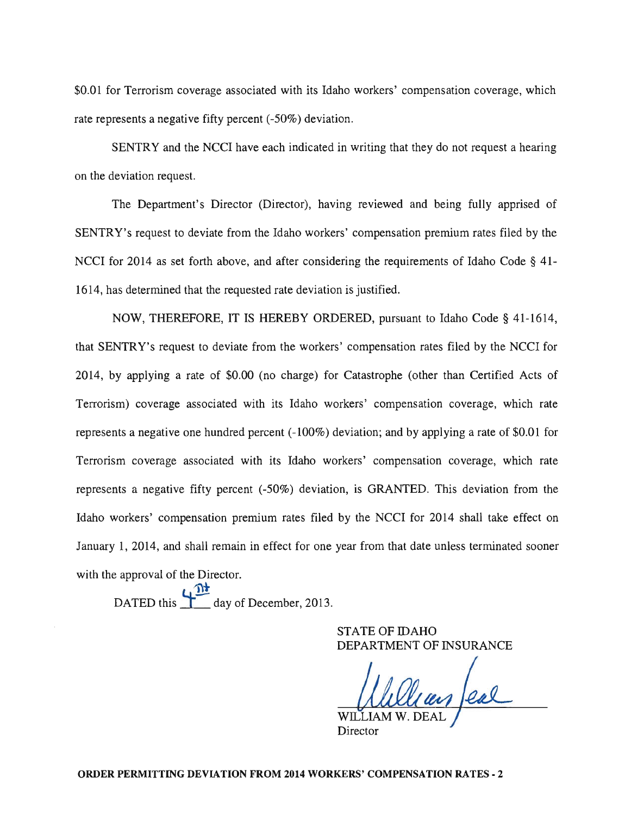\$0.01 for Terrorism coverage associated with its Idaho workers' compensation coverage, which rate represents a negative fifty percent (-50%) deviation.

SENTRY and the NCCI have each indicated in writing that they do not request a hearing on the deviation request.

The Department's Director (Director), having reviewed and being fully apprised of SENTRY's request to deviate from the Idaho workers' compensation premium rates filed by the NCCI for 2014 as set forth above, and after considering the requirements of Idaho Code § 41- 1614, has determined that the requested rate deviation is justified.

NOW, THEREFORE, IT IS HEREBY ORDERED, pursuant to Idaho Code § 41-1614, that SENTRY's request to deviate from the workers' compensation rates filed by the NCCI for 2014, by applying a rate of \$0.00 (no charge) for Catastrophe (other than Certified Acts of Terrorism) coverage associated with its Idaho workers' compensation coverage, which rate represents a negative one hundred percent (-100%) deviation; and by applying a rate of \$0.01 for Terrorism coverage associated with its Idaho workers' compensation coverage, which rate represents a negative fifty percent (-50%) deviation, is GRANTED. This deviation from the Idaho workers' compensation premium rates filed by the NCCI for 2014 shall take effect on January 1, 2014, and shall remain in effect for one year from that date unless terminated sooner with the approval of the Director.

DATED this  $\frac{1}{\sqrt{1 +}}$  day of December, 2013.

STATE OF IDAHO DEPARTMENT OF INSURANCE

Director